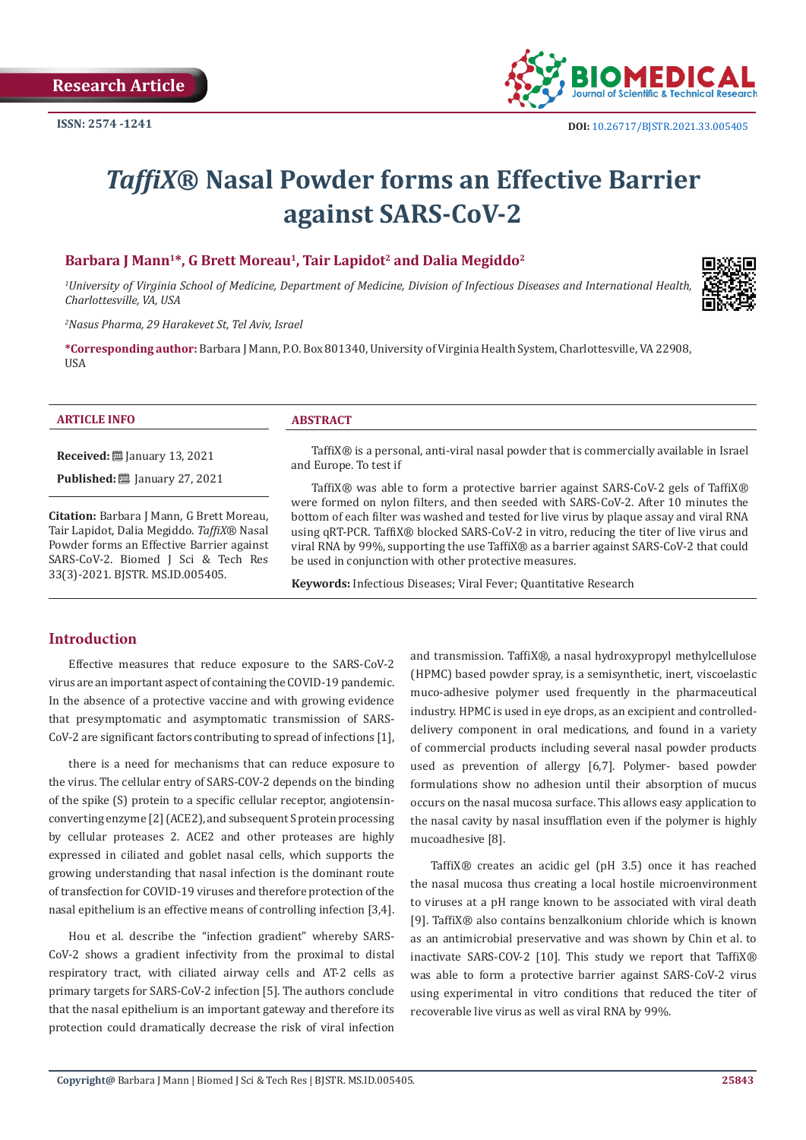

# *TaffiX***® Nasal Powder forms an Effective Barrier against SARS-CoV-2**

# Barbara J Mann<sup>1\*</sup>, G Brett Moreau<sup>1</sup>, Tair Lapidot<sup>2</sup> and Dalia Megiddo<sup>2</sup>

*1 University of Virginia School of Medicine, Department of Medicine, Division of Infectious Diseases and International Health, Charlottesville, VA, USA*

*2 Nasus Pharma, 29 Harakevet St, Tel Aviv, Israel*

**\*Corresponding author:** Barbara J Mann, P.O. Box 801340, University of Virginia Health System, Charlottesville, VA 22908, USA

#### **ARTICLE INFO ABSTRACT**

**Received:** ■ January 13, 2021

**Published:** ■ January 27, 2021

**Citation:** Barbara J Mann, G Brett Moreau, Tair Lapidot, Dalia Megiddo. *TaffiX*® Nasal Powder forms an Effective Barrier against SARS-CoV-2. Biomed J Sci & Tech Res 33(3)-2021. BJSTR. MS.ID.005405.

TaffiX® is a personal, anti-viral nasal powder that is commercially available in Israel and Europe. To test if

TaffiX® was able to form a protective barrier against SARS-CoV-2 gels of TaffiX® were formed on nylon filters, and then seeded with SARS-CoV-2. After 10 minutes the bottom of each filter was washed and tested for live virus by plaque assay and viral RNA using qRT-PCR. TaffiX® blocked SARS-CoV-2 in vitro, reducing the titer of live virus and viral RNA by 99%, supporting the use TaffiX® as a barrier against SARS-CoV-2 that could be used in conjunction with other protective measures.

**Keywords:** Infectious Diseases; Viral Fever; Quantitative Research

# **Introduction**

Effective measures that reduce exposure to the SARS-CoV-2 virus are an important aspect of containing the COVID-19 pandemic. In the absence of a protective vaccine and with growing evidence that presymptomatic and asymptomatic transmission of SARS-CoV-2 are significant factors contributing to spread of infections [1],

there is a need for mechanisms that can reduce exposure to the virus. The cellular entry of SARS-COV-2 depends on the binding of the spike (S) protein to a specific cellular receptor, angiotensinconverting enzyme [2] (ACE2), and subsequent S protein processing by cellular proteases 2. ACE2 and other proteases are highly expressed in ciliated and goblet nasal cells, which supports the growing understanding that nasal infection is the dominant route of transfection for COVID-19 viruses and therefore protection of the nasal epithelium is an effective means of controlling infection [3,4].

Hou et al. describe the "infection gradient" whereby SARS-CoV-2 shows a gradient infectivity from the proximal to distal respiratory tract, with ciliated airway cells and AT-2 cells as primary targets for SARS-CoV-2 infection [5]. The authors conclude that the nasal epithelium is an important gateway and therefore its protection could dramatically decrease the risk of viral infection

and transmission. TaffiX*®*, a nasal hydroxypropyl methylcellulose (HPMC) based powder spray, is a semisynthetic, inert, viscoelastic muco-adhesive polymer used frequently in the pharmaceutical industry. HPMC is used in eye drops, as an excipient and controlleddelivery component in oral medications, and found in a variety of commercial products including several nasal powder products used as prevention of allergy [6,7]. Polymer- based powder formulations show no adhesion until their absorption of mucus occurs on the nasal mucosa surface. This allows easy application to the nasal cavity by nasal insufflation even if the polymer is highly mucoadhesive [8].

TaffiX*®* creates an acidic gel (pH 3.5) once it has reached the nasal mucosa thus creating a local hostile microenvironment to viruses at a pH range known to be associated with viral death [9]. TaffiX*®* also contains benzalkonium chloride which is known as an antimicrobial preservative and was shown by Chin et al. to inactivate SARS-COV-2 [10]. This study we report that TaffiX*®* was able to form a protective barrier against SARS-CoV-2 virus using experimental in vitro conditions that reduced the titer of recoverable live virus as well as viral RNA by 99%.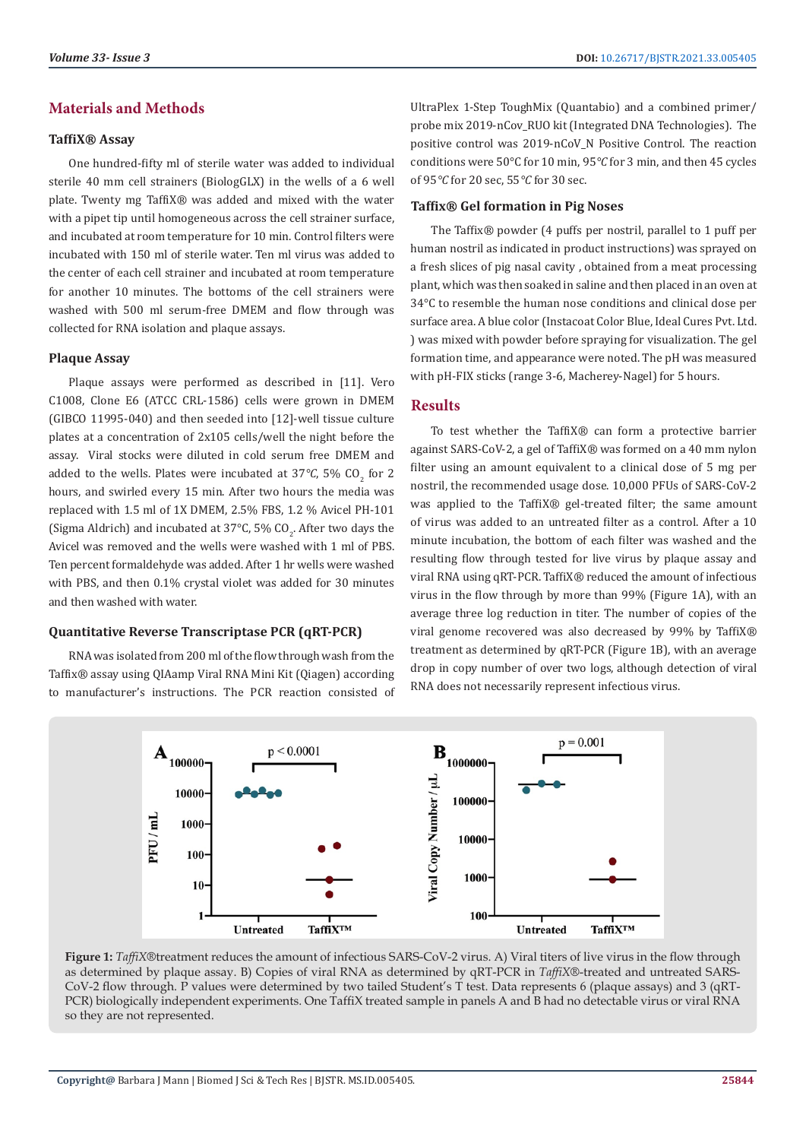# **Materials and Methods**

#### **TaffiX® Assay**

One hundred-fifty ml of sterile water was added to individual sterile 40 mm cell strainers (BiologGLX) in the wells of a 6 well plate. Twenty mg TaffiX*®* was added and mixed with the water with a pipet tip until homogeneous across the cell strainer surface, and incubated at room temperature for 10 min. Control filters were incubated with 150 ml of sterile water. Ten ml virus was added to the center of each cell strainer and incubated at room temperature for another 10 minutes. The bottoms of the cell strainers were washed with 500 ml serum-free DMEM and flow through was collected for RNA isolation and plaque assays.

#### **Plaque Assay**

Plaque assays were performed as described in [11]. Vero C1008, Clone E6 (ATCC CRL-1586) cells were grown in DMEM (GIBCO 11995-040) and then seeded into [12]-well tissue culture plates at a concentration of 2x105 cells/well the night before the assay. Viral stocks were diluted in cold serum free DMEM and added to the wells. Plates were incubated at 37°C, 5%  $CO_2$  for 2 hours, and swirled every 15 min. After two hours the media was replaced with 1.5 ml of 1X DMEM, 2.5% FBS, 1.2 % Avicel PH-101 (Sigma Aldrich) and incubated at 37°C, 5% CO<sub>2</sub>. After two days the Avicel was removed and the wells were washed with 1 ml of PBS. Ten percent formaldehyde was added. After 1 hr wells were washed with PBS, and then 0.1% crystal violet was added for 30 minutes and then washed with water.

#### **Quantitative Reverse Transcriptase PCR (qRT-PCR)**

RNA was isolated from 200 ml of the flow through wash from the Taffix*®* assay using QIAamp Viral RNA Mini Kit (Qiagen) according to manufacturer's instructions. The PCR reaction consisted of UltraPlex 1-Step ToughMix (Quantabio) and a combined primer/ probe mix 2019-nCov\_RUO kit (Integrated DNA Technologies). The positive control was 2019-nCoV\_N Positive Control. The reaction conditions were 50°C for 10 min, 95*°C* for 3 min, and then 45 cycles of 95*°C* for 20 sec, 55*°C* for 30 sec.

#### **Taffix® Gel formation in Pig Noses**

The Taffix*®* powder (4 puffs per nostril, parallel to 1 puff per human nostril as indicated in product instructions) was sprayed on a fresh slices of pig nasal cavity , obtained from a meat processing plant, which was then soaked in saline and then placed in an oven at 34°C to resemble the human nose conditions and clinical dose per surface area. A blue color (Instacoat Color Blue, Ideal Cures Pvt. Ltd. ) was mixed with powder before spraying for visualization. The gel formation time, and appearance were noted. The pH was measured with pH-FIX sticks (range 3-6, Macherey-Nagel) for 5 hours.

# **Results**

To test whether the TaffiX*®* can form a protective barrier against SARS-CoV-2, a gel of TaffiX*®* was formed on a 40 mm nylon filter using an amount equivalent to a clinical dose of 5 mg per nostril, the recommended usage dose. 10,000 PFUs of SARS-CoV-2 was applied to the TaffiX*®* gel-treated filter; the same amount of virus was added to an untreated filter as a control. After a 10 minute incubation, the bottom of each filter was washed and the resulting flow through tested for live virus by plaque assay and viral RNA using qRT-PCR. TaffiX*®* reduced the amount of infectious virus in the flow through by more than 99% (Figure 1A), with an average three log reduction in titer. The number of copies of the viral genome recovered was also decreased by 99% by TaffiX*®* treatment as determined by qRT-PCR (Figure 1B), with an average drop in copy number of over two logs, although detection of viral RNA does not necessarily represent infectious virus.



**Figure 1:** *TaffiX*®treatment reduces the amount of infectious SARS-CoV-2 virus. A) Viral titers of live virus in the flow through as determined by plaque assay. B) Copies of viral RNA as determined by qRT-PCR in *TaffiX*®-treated and untreated SARS-CoV-2 flow through. P values were determined by two tailed Student's T test. Data represents 6 (plaque assays) and 3 (qRT-PCR) biologically independent experiments. One TaffiX treated sample in panels A and B had no detectable virus or viral RNA so they are not represented.